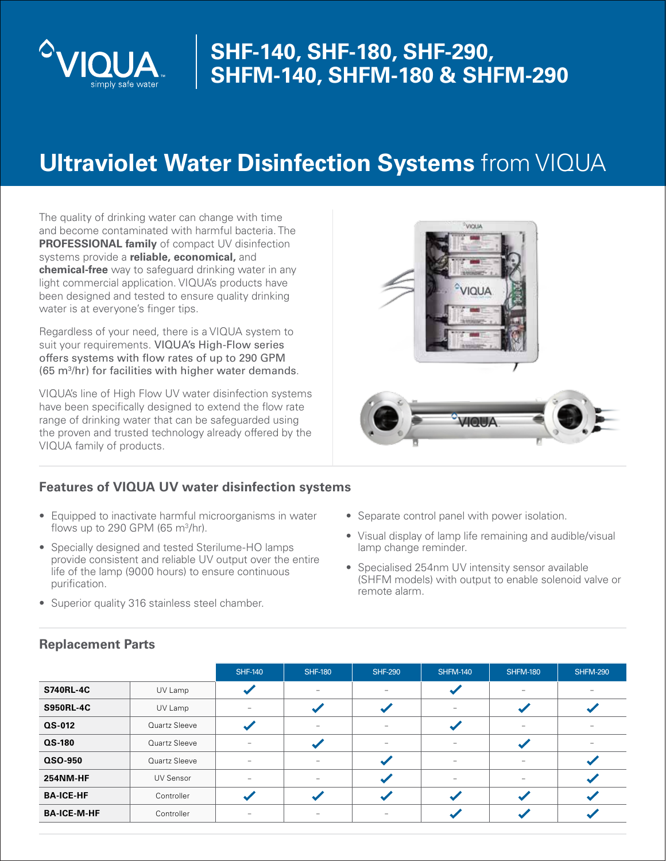

# **SHF-140, SHF-180, SHF-290, SHFM-140, SHFM-180 & SHFM-290**

# **Ultraviolet Water Disinfection Systems** from VIQUA

The quality of drinking water can change with time and become contaminated with harmful bacteria. The **PROFESSIONAL family** of compact UV disinfection systems provide a **reliable, economical,** and **chemical-free** way to safeguard drinking water in any light commercial application. VIQUA's products have been designed and tested to ensure quality drinking water is at everyone's finger tips.

Regardless of your need, there is a VIQUA system to suit your requirements. VIQUA's High-Flow series offers systems with flow rates of up to 290 GPM (65 m3 /hr) for facilities with higher water demands.

VIQUA's line of High Flow UV water disinfection systems have been specifically designed to extend the flow rate range of drinking water that can be safeguarded using the proven and trusted technology already offered by the VIQUA family of products.



- Equipped to inactivate harmful microorganisms in water flows up to 290 GPM (65  $m^3/hr$ ).
- Specially designed and tested Sterilume-HO lamps provide consistent and reliable UV output over the entire life of the lamp (9000 hours) to ensure continuous purification.
- Superior quality 316 stainless steel chamber.



- Separate control panel with power isolation.
- Visual display of lamp life remaining and audible/visual lamp change reminder.
- Specialised 254nm UV intensity sensor available (SHFM models) with output to enable solenoid valve or remote alarm.

|                    |                  | <b>SHF-140</b>           | <b>SHF-180</b>    | <b>SHF-290</b>           | <b>SHFM-140</b>          | <b>SHFM-180</b>          | <b>SHFM-290</b>          |
|--------------------|------------------|--------------------------|-------------------|--------------------------|--------------------------|--------------------------|--------------------------|
| <b>S740RL-4C</b>   | UV Lamp          |                          | $\qquad \qquad =$ | $\overline{\phantom{0}}$ |                          | $\overline{\phantom{0}}$ | $\overline{\phantom{0}}$ |
| <b>S950RL-4C</b>   | UV Lamp          |                          |                   |                          | -                        |                          |                          |
| QS-012             | Quartz Sleeve    |                          |                   |                          | مم                       |                          |                          |
| QS-180             | Quartz Sleeve    |                          |                   | $\overline{\phantom{0}}$ |                          |                          |                          |
| QSO-950            | Quartz Sleeve    | $\qquad \qquad$          |                   | $\overline{\mathscr{L}}$ | $\overline{\phantom{0}}$ |                          |                          |
| 254NM-HF           | <b>UV Sensor</b> | $\overline{\phantom{0}}$ | $\qquad \qquad -$ |                          | -                        | $\qquad \qquad$          |                          |
| <b>BA-ICE-HF</b>   | Controller       | Ñ                        |                   |                          |                          |                          |                          |
| <b>BA-ICE-M-HF</b> | Controller       | $\overline{\phantom{0}}$ | -                 |                          |                          |                          |                          |

#### **Replacement Parts**